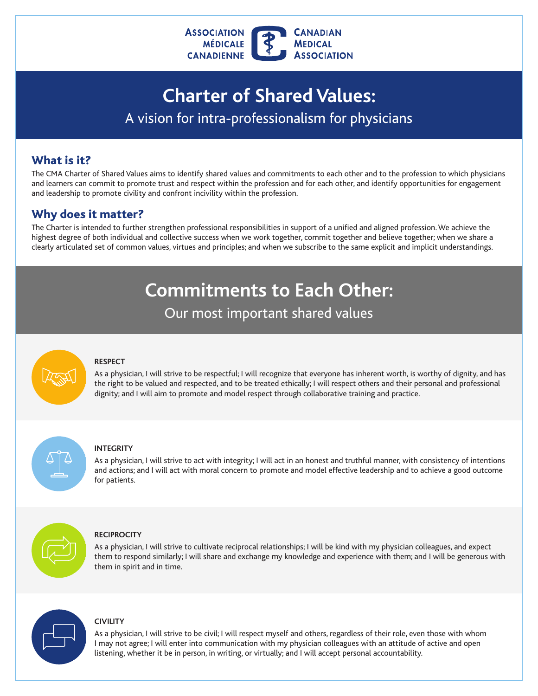

# **Charter of Shared Values:**  A vision for intra-professionalism for physicians

### What is it?

The CMA Charter of Shared Values aims to identify shared values and commitments to each other and to the profession to which physicians and learners can commit to promote trust and respect within the profession and for each other, and identify opportunities for engagement and leadership to promote civility and confront incivility within the profession.

### Why does it matter?

 The Charter is intended to further strengthen professional responsibilities in support of a unifed and aligned profession. We achieve the highest degree of both individual and collective success when we work together, commit together and believe together; when we share a clearly articulated set of common values, virtues and principles; and when we subscribe to the same explicit and implicit understandings.

## **Commitments to Each Other:**

Our most important shared values



#### **RESPECT**

As a physician, I will strive to be respectful; I will recognize that everyone has inherent worth, is worthy of dignity, and has the right to be valued and respected, and to be treated ethically; I will respect others and their personal and professional dignity; and I will aim to promote and model respect through collaborative training and practice.

#### **INTEGRITY**

As a physician, I will strive to act with integrity; I will act in an honest and truthful manner, with consistency of intentions and actions; and I will act with moral concern to promote and model effective leadership and to achieve a good outcome for patients.



#### **RECIPROCITY**

As a physician, I will strive to cultivate reciprocal relationships; I will be kind with my physician colleagues, and expect them to respond similarly; I will share and exchange my knowledge and experience with them; and I will be generous with them in spirit and in time.



#### **CIVILITY**

As a physician, I will strive to be civil; I will respect myself and others, regardless of their role, even those with whom I may not agree; I will enter into communication with my physician colleagues with an attitude of active and open listening, whether it be in person, in writing, or virtually; and I will accept personal accountability.